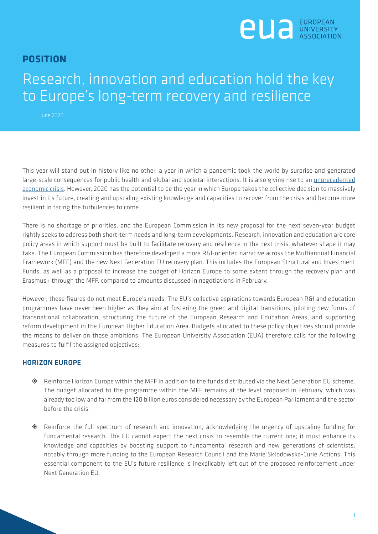

## **POSITION**

## Research, innovation and education hold the key to Europe's long-term recovery and resilience

June 2020

This year will stand out in history like no other, a year in which a pandemic took the world by surprise and generated large-scale consequences for public health and global and societal interactions. It is also giving rise to an [unprecedented](https://www.eua.eu/resources/publications/927:the-impact-of-the-covid-19-crisis-on-university-funding-in-europe.html)  [economic crisis.](https://www.eua.eu/resources/publications/927:the-impact-of-the-covid-19-crisis-on-university-funding-in-europe.html) However, 2020 has the potential to be the year in which Europe takes the collective decision to massively invest in its future, creating and upscaling existing knowledge and capacities to recover from the crisis and become more resilient in facing the turbulences to come.

There is no shortage of priorities, and the European Commission in its new proposal for the next seven-year budget rightly seeks to address both short-term needs and long-term developments. Research, innovation and education are core policy areas in which support must be built to facilitate recovery and resilience in the next crisis, whatever shape it may take. The European Commission has therefore developed a more R&I-oriented narrative across the Multiannual Financial Framework (MFF) and the new Next Generation EU recovery plan. This includes the European Structural and Investment Funds, as well as a proposal to increase the budget of Horizon Europe to some extent through the recovery plan and Erasmus+ through the MFF, compared to amounts discussed in negotiations in February.

However, these figures do not meet Europe's needs. The EU's collective aspirations towards European R&I and education programmes have never been higher as they aim at fostering the green and digital transitions, piloting new forms of transnational collaboration, structuring the future of the European Research and Education Areas, and supporting reform development in the European Higher Education Area. Budgets allocated to these policy objectives should provide the means to deliver on those ambitions. The European University Association (EUA) therefore calls for the following measures to fulfil the assigned objectives:

## HORIZON EUROPE

- Reinforce Horizon Europe within the MFF in addition to the funds distributed via the Next Generation EU scheme. The budget allocated to the programme within the MFF remains at the level proposed in February, which was already too low and far from the 120 billion euros considered necessary by the European Parliament and the sector before the crisis.
- Reinforce the full spectrum of research and innovation, acknowledging the urgency of upscaling funding for fundamental research. The EU cannot expect the next crisis to resemble the current one; it must enhance its knowledge and capacities by boosting support to fundamental research and new generations of scientists, notably through more funding to the European Research Council and the Marie Skłodowska-Curie Actions. This essential component to the EU's future resilience is inexplicably left out of the proposed reinforcement under Next Generation EU.